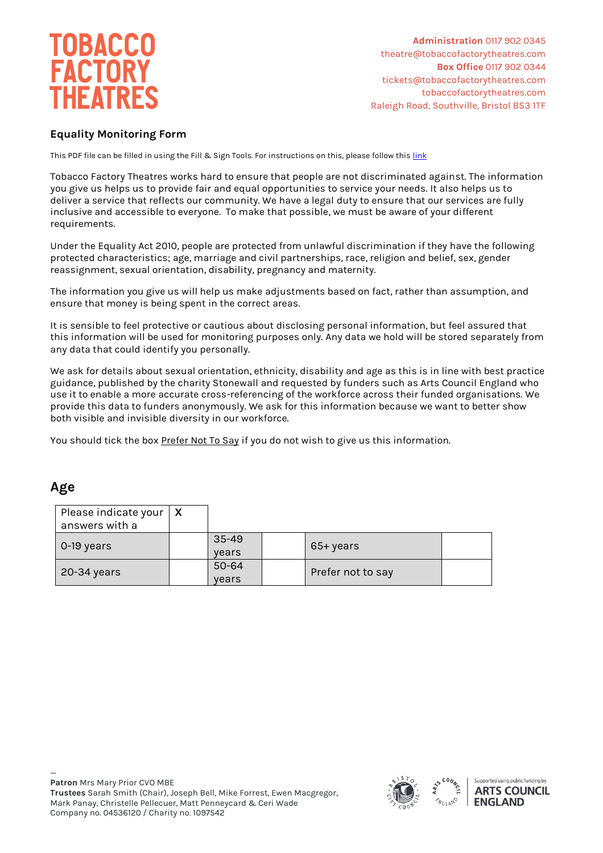

**Administration** 0117 902 0345 theatre@tobaccofactorytheatres.com  **Box Office** 0117 902 0344 tickets@tobaccofactorytheatres.com tobaccofactorytheatres.com Raleigh Road, Southville, Bristol BS3 1TF

#### **Equality Monitoring Form**

This PDF file can be filled in using the Fill & Sign Tools. For instructions on this, please follow thi[s link](https://helpx.adobe.com/acrobat/using/fill-and-sign.html#fill_your_PDF_form)

Tobacco Factory Theatres works hard to ensure that people are not discriminated against. The information you give us helps us to provide fair and equal opportunities to service your needs. It also helps us to deliver a service that reflects our community. We have a legal duty to ensure that our services are fully inclusive and accessible to everyone. To make that possible, we must be aware of your different requirements.

Under the Equality Act 2010, people are protected from unlawful discrimination if they have the following protected characteristics; age, marriage and civil partnerships, race, religion and belief, sex, gender reassignment, sexual orientation, disability, pregnancy and maternity.

The information you give us will help us make adjustments based on fact, rather than assumption, and ensure that money is being spent in the correct areas.

It is sensible to feel protective or cautious about disclosing personal information, but feel assured that this information will be used for monitoring purposes only. Any data we hold will be stored separately from any data that could identify you personally.

We ask for details about sexual orientation, ethnicity, disability and age as this is in line with best practice guidance, published by the charity Stonewall and requested by funders such as Arts Council England who use it to enable a more accurate cross-referencing of the workforce across their funded organisations. We provide this data to funders anonymously. We ask for this information because we want to better show both visible and invisible diversity in our workforce.

You should tick the box Prefer Not To Say if you do not wish to give us this information.

#### **Age**

| Please indicate your $\mid X \mid$<br>answers with a |                    |                   |  |
|------------------------------------------------------|--------------------|-------------------|--|
| $\sim$ 0-19 years                                    | $35 - 49$<br>vears | 65+ years         |  |
| 20-34 years                                          | $50 - 64$<br>years | Prefer not to say |  |

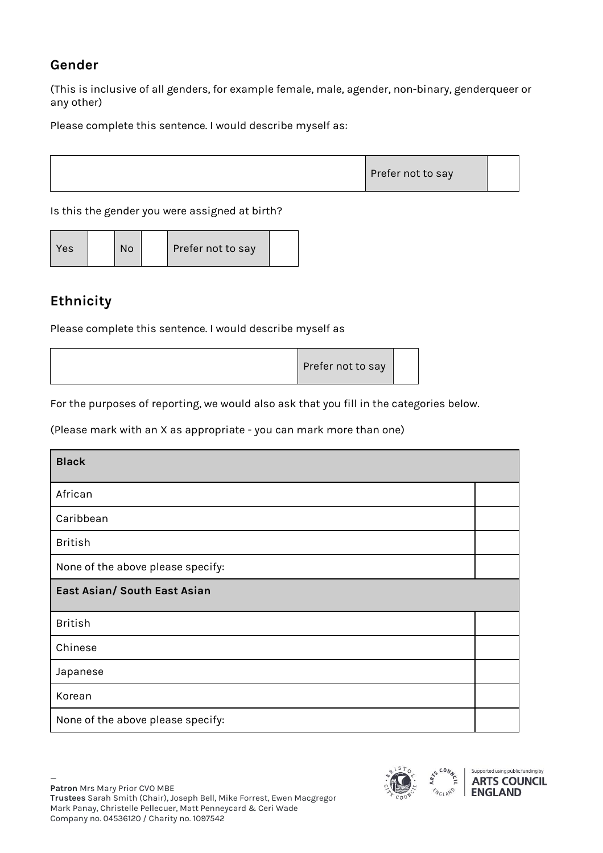### **Gender**

(This is inclusive of all genders, for example female, male, agender, non-binary, genderqueer or any other)

Please complete this sentence. I would describe myself as:



Is this the gender you were assigned at birth?

| Yes<br>No | Prefer not to say |  |
|-----------|-------------------|--|
|-----------|-------------------|--|

# **Ethnicity**

Please complete this sentence. I would describe myself as

| Prefer not to say |  |
|-------------------|--|
|                   |  |

For the purposes of reporting, we would also ask that you fill in the categories below.

(Please mark with an X as appropriate - you can mark more than one)

| <b>Black</b>                      |  |  |  |
|-----------------------------------|--|--|--|
| African                           |  |  |  |
| Caribbean                         |  |  |  |
| <b>British</b>                    |  |  |  |
| None of the above please specify: |  |  |  |
| East Asian/ South East Asian      |  |  |  |
| <b>British</b>                    |  |  |  |
| Chinese                           |  |  |  |
| Japanese                          |  |  |  |
| Korean                            |  |  |  |
| None of the above please specify: |  |  |  |

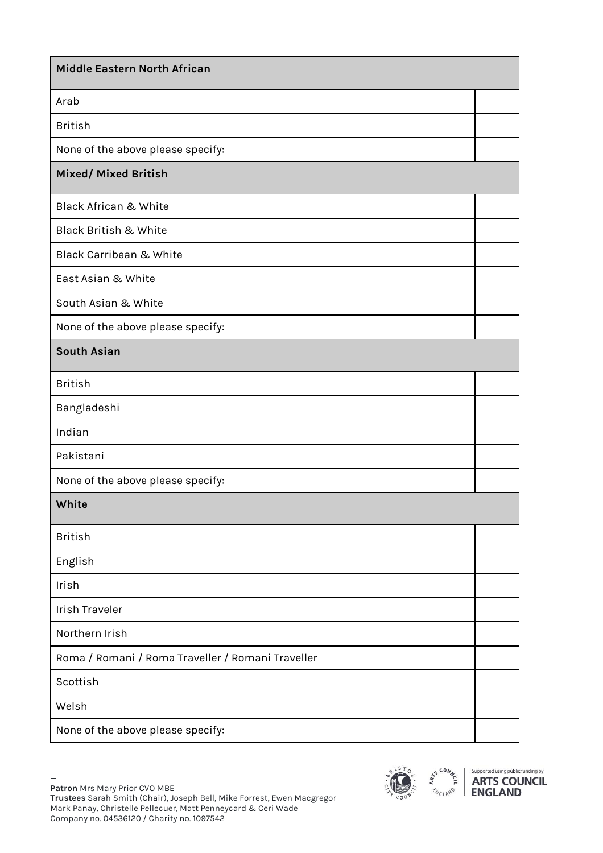| <b>Middle Eastern North African</b>               |  |
|---------------------------------------------------|--|
| Arab                                              |  |
| <b>British</b>                                    |  |
| None of the above please specify:                 |  |
| Mixed/ Mixed British                              |  |
| <b>Black African &amp; White</b>                  |  |
| <b>Black British &amp; White</b>                  |  |
| <b>Black Carribean &amp; White</b>                |  |
| East Asian & White                                |  |
| South Asian & White                               |  |
| None of the above please specify:                 |  |
| <b>South Asian</b>                                |  |
| <b>British</b>                                    |  |
| Bangladeshi                                       |  |
| Indian                                            |  |
| Pakistani                                         |  |
| None of the above please specify:                 |  |
| White                                             |  |
| <b>British</b>                                    |  |
| English                                           |  |
| Irish                                             |  |
| <b>Irish Traveler</b>                             |  |
| Northern Irish                                    |  |
| Roma / Romani / Roma Traveller / Romani Traveller |  |
| Scottish                                          |  |
| Welsh                                             |  |
| None of the above please specify:                 |  |



Supported using public funding by **ARTS COUNCIL**<br>ENGLAND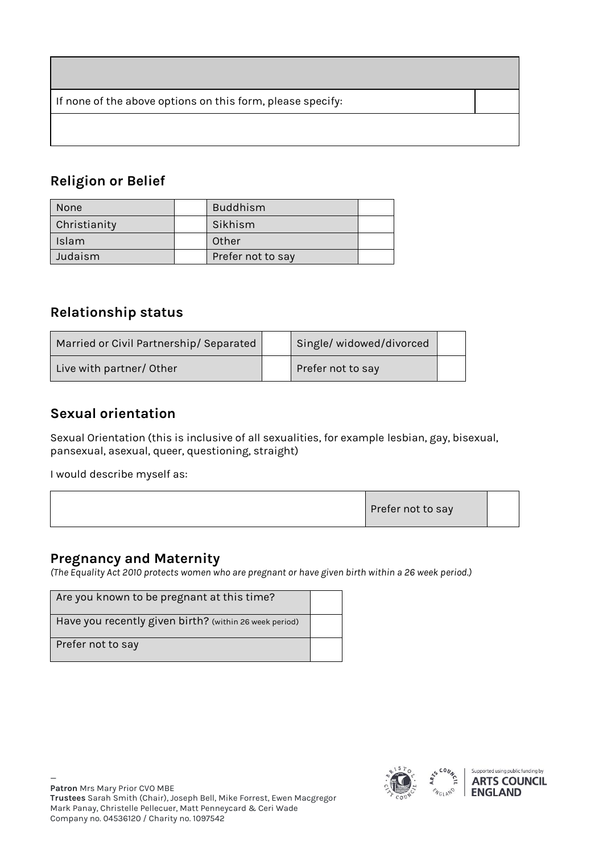If none of the above options on this form, please specify:

# **Religion or Belief**

| <b>None</b>  | <b>Buddhism</b>   |  |
|--------------|-------------------|--|
| Christianity | Sikhism           |  |
| <b>Islam</b> | Other             |  |
| Judaism      | Prefer not to say |  |

#### **Relationship status**

| Married or Civil Partnership/ Separated | Single/widowed/divorced |  |
|-----------------------------------------|-------------------------|--|
| Live with partner/Other                 | Prefer not to say       |  |

#### **Sexual orientation**

Sexual Orientation (this is inclusive of all sexualities, for example lesbian, gay, bisexual, pansexual, asexual, queer, questioning, straight)

I would describe myself as:

### **Pregnancy and Maternity**

*(The Equality Act 2010 protects women who are pregnant or have given birth within a 26 week period.)*

| Are you known to be pregnant at this time?             |  |
|--------------------------------------------------------|--|
| Have you recently given birth? (within 26 week period) |  |
| Prefer not to say                                      |  |

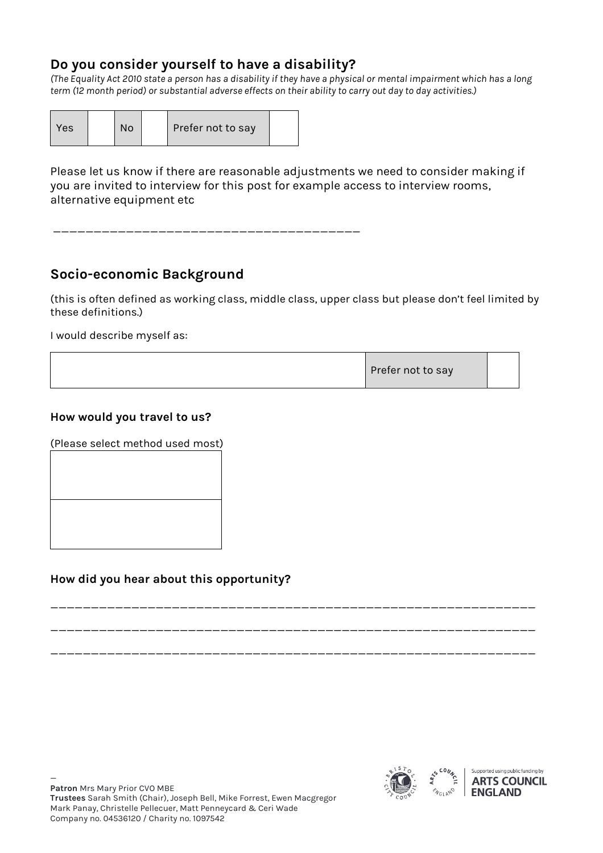### **Do you consider yourself to have a disability?**

*(The Equality Act 2010 state a person has a disability if they have a physical or mental impairment which has a long term (12 month period) or substantial adverse effects on their ability to carry out day to day activities.)*

| <b>Yes</b> | No |  | Prefer not to say |  |
|------------|----|--|-------------------|--|
|------------|----|--|-------------------|--|

Please let us know if there are reasonable adjustments we need to consider making if you are invited to interview for this post for example access to interview rooms, alternative equipment etc

\_\_\_\_\_\_\_\_\_\_\_\_\_\_\_\_\_\_\_\_\_\_\_\_\_\_\_\_\_\_\_\_\_\_\_\_\_\_

## **Socio-economic Background**

(this is often defined as working class, middle class, upper class but please don't feel limited by these definitions.)

I would describe myself as:

| Prefer not to say |  |  |
|-------------------|--|--|
|-------------------|--|--|

\_\_\_\_\_\_\_\_\_\_\_\_\_\_\_\_\_\_\_\_\_\_\_\_\_\_\_\_\_\_\_\_\_\_\_\_\_\_\_\_\_\_\_\_\_\_\_\_\_\_\_\_\_\_\_\_\_\_\_\_

\_\_\_\_\_\_\_\_\_\_\_\_\_\_\_\_\_\_\_\_\_\_\_\_\_\_\_\_\_\_\_\_\_\_\_\_\_\_\_\_\_\_\_\_\_\_\_\_\_\_\_\_\_\_\_\_\_\_\_\_

\_\_\_\_\_\_\_\_\_\_\_\_\_\_\_\_\_\_\_\_\_\_\_\_\_\_\_\_\_\_\_\_\_\_\_\_\_\_\_\_\_\_\_\_\_\_\_\_\_\_\_\_\_\_\_\_\_\_\_\_

#### **How would you travel to us?**

(Please select method used most)

#### **How did you hear about this opportunity?**